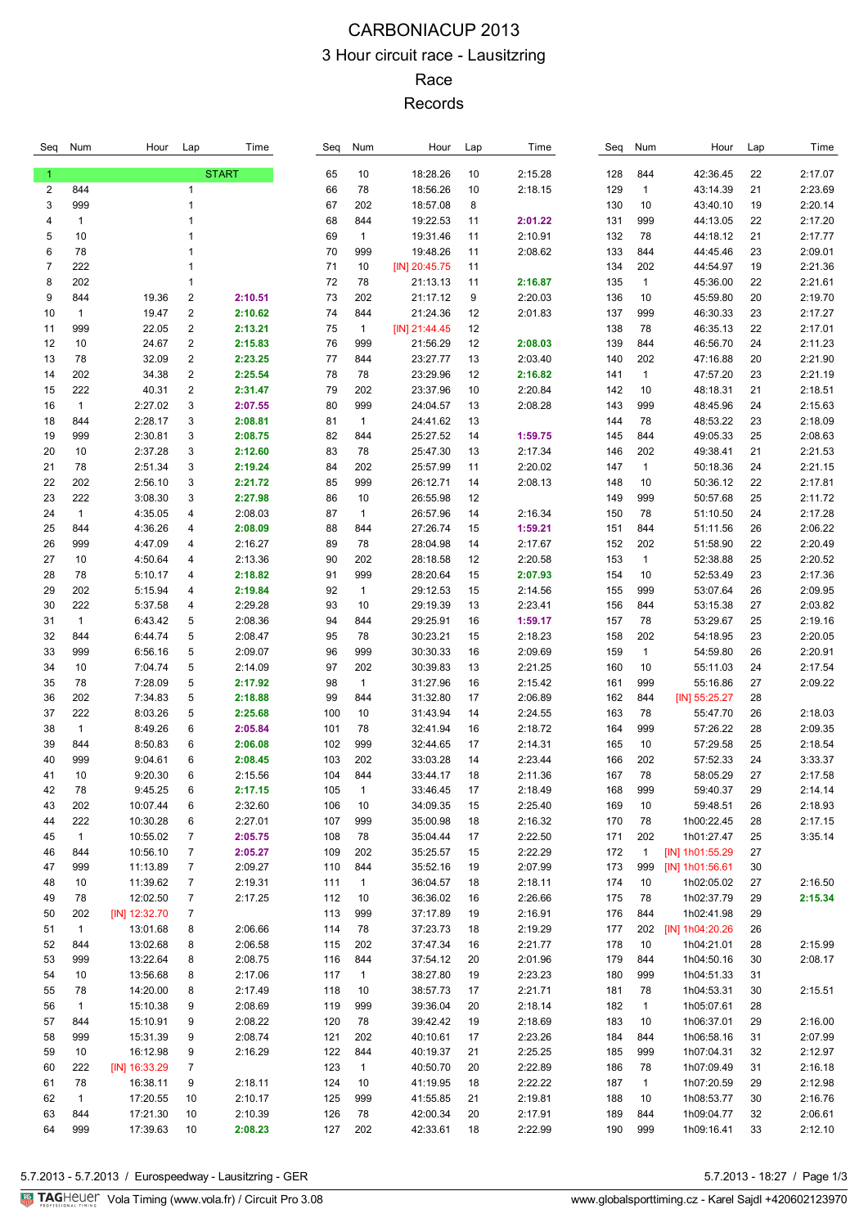## CARBONIACUP 2013 3 Hour circuit race - Lausitzring Race Records

| Seq          | Num          | Hour                 | Lap                          | Time               | Seq        | Num                | Hour                 | Lap      | Time               | Seq        | Num                | Hour                     | Lap      | Time               |
|--------------|--------------|----------------------|------------------------------|--------------------|------------|--------------------|----------------------|----------|--------------------|------------|--------------------|--------------------------|----------|--------------------|
| $\mathbf{1}$ |              |                      |                              | <b>START</b>       | 65         | 10                 | 18:28.26             | 10       | 2:15.28            | 128        | 844                | 42:36.45                 | 22       | 2:17.07            |
| 2            | 844          |                      | $\mathbf{1}$                 |                    | 66         | 78                 | 18:56.26             | 10       | 2:18.15            | 129        | $\mathbf{1}$       | 43:14.39                 | 21       | 2:23.69            |
| 3            | 999          |                      | 1                            |                    | 67         | 202                | 18:57.08             | 8        |                    | 130        | 10                 | 43:40.10                 | 19       | 2:20.14            |
| 4            | $\mathbf{1}$ |                      |                              |                    | 68         | 844                | 19:22.53             | 11       | 2:01.22            | 131        | 999                | 44:13.05                 | 22       | 2:17.20            |
| 5            | 10           |                      |                              |                    | 69         | $\mathbf{1}$       | 19:31.46             | 11       | 2:10.91            | 132        | 78                 | 44:18.12                 | 21       | 2:17.77            |
| 6            | 78           |                      |                              |                    | 70         | 999                | 19:48.26             | 11       | 2:08.62            | 133        | 844                | 44:45.46                 | 23       | 2:09.01            |
| 7            | 222          |                      | 1                            |                    | 71<br>72   | 10                 | $[N]$ 20:45.75       | 11       |                    | 134        | 202                | 44:54.97                 | 19       | 2:21.36<br>2:21.61 |
| 8<br>9       | 202<br>844   | 19.36                | 1<br>$\overline{\mathbf{c}}$ | 2:10.51            | 73         | 78<br>202          | 21:13.13<br>21:17.12 | 11<br>9  | 2:16.87<br>2:20.03 | 135<br>136 | $\mathbf{1}$<br>10 | 45:36.00<br>45:59.80     | 22<br>20 | 2:19.70            |
| 10           | $\mathbf{1}$ | 19.47                | 2                            | 2:10.62            | 74         | 844                | 21:24.36             | 12       | 2:01.83            | 137        | 999                | 46:30.33                 | 23       | 2:17.27            |
| 11           | 999          | 22.05                | 2                            | 2:13.21            | 75         | $\mathbf{1}$       | $[IN]$ 21:44.45      | 12       |                    | 138        | 78                 | 46:35.13                 | 22       | 2:17.01            |
| 12           | 10           | 24.67                | 2                            | 2:15.83            | 76         | 999                | 21:56.29             | 12       | 2:08.03            | 139        | 844                | 46:56.70                 | 24       | 2:11.23            |
| 13           | 78           | 32.09                | 2                            | 2:23.25            | 77         | 844                | 23:27.77             | 13       | 2:03.40            | 140        | 202                | 47:16.88                 | 20       | 2:21.90            |
| 14           | 202          | 34.38                | 2                            | 2:25.54            | 78         | 78                 | 23:29.96             | 12       | 2:16.82            | 141        | 1                  | 47:57.20                 | 23       | 2:21.19            |
| 15           | 222          | 40.31                | 2                            | 2:31.47            | 79         | 202                | 23:37.96             | 10       | 2:20.84            | 142        | 10                 | 48:18.31                 | 21       | 2:18.51            |
| 16           | $\mathbf{1}$ | 2:27.02              | 3                            | 2:07.55            | 80         | 999                | 24:04.57             | 13       | 2:08.28            | 143        | 999                | 48:45.96                 | 24       | 2:15.63            |
| 18           | 844          | 2:28.17              | 3                            | 2:08.81            | 81         | $\mathbf{1}$       | 24:41.62             | 13       |                    | 144        | 78                 | 48:53.22                 | 23       | 2:18.09            |
| 19           | 999          | 2:30.81              | 3                            | 2:08.75            | 82         | 844                | 25:27.52             | 14       | 1:59.75            | 145        | 844                | 49:05.33                 | 25       | 2:08.63            |
| 20           | 10           | 2:37.28              | 3                            | 2:12.60            | 83         | 78                 | 25:47.30             | 13       | 2:17.34            | 146        | 202                | 49:38.41                 | 21       | 2:21.53            |
| 21           | 78           | 2:51.34              | 3                            | 2:19.24            | 84         | 202                | 25:57.99             | 11       | 2:20.02            | 147        | 1                  | 50:18.36                 | 24       | 2:21.15            |
| 22           | 202          | 2:56.10              | 3                            | 2:21.72            | 85         | 999                | 26:12.71             | 14       | 2:08.13            | 148        | 10                 | 50:36.12                 | 22       | 2:17.81            |
| 23           | 222          | 3:08.30              | 3                            | 2:27.98            | 86         | 10                 | 26:55.98             | 12       |                    | 149        | 999                | 50:57.68                 | 25       | 2:11.72            |
| 24           | $\mathbf{1}$ | 4:35.05              | 4                            | 2:08.03            | 87         | $\mathbf{1}$       | 26:57.96             | 14       | 2:16.34            | 150        | 78                 | 51:10.50                 | 24       | 2:17.28            |
| 25<br>26     | 844<br>999   | 4:36.26<br>4:47.09   | 4<br>4                       | 2:08.09<br>2:16.27 | 88<br>89   | 844<br>78          | 27:26.74<br>28:04.98 | 15<br>14 | 1:59.21<br>2:17.67 | 151<br>152 | 844<br>202         | 51:11.56<br>51:58.90     | 26<br>22 | 2:06.22<br>2:20.49 |
| 27           | 10           | 4:50.64              | 4                            | 2:13.36            | 90         | 202                | 28:18.58             | 12       | 2:20.58            | 153        | $\mathbf{1}$       | 52:38.88                 | 25       | 2:20.52            |
| 28           | 78           | 5:10.17              | 4                            | 2:18.82            | 91         | 999                | 28:20.64             | 15       | 2:07.93            | 154        | 10                 | 52:53.49                 | 23       | 2:17.36            |
| 29           | 202          | 5:15.94              | 4                            | 2:19.84            | 92         | $\mathbf{1}$       | 29:12.53             | 15       | 2:14.56            | 155        | 999                | 53:07.64                 | 26       | 2:09.95            |
| 30           | 222          | 5:37.58              | 4                            | 2:29.28            | 93         | 10                 | 29:19.39             | 13       | 2:23.41            | 156        | 844                | 53:15.38                 | 27       | 2:03.82            |
| 31           | $\mathbf{1}$ | 6:43.42              | 5                            | 2:08.36            | 94         | 844                | 29:25.91             | 16       | 1:59.17            | 157        | 78                 | 53:29.67                 | 25       | 2:19.16            |
| 32           | 844          | 6:44.74              | 5                            | 2:08.47            | 95         | 78                 | 30:23.21             | 15       | 2:18.23            | 158        | 202                | 54:18.95                 | 23       | 2:20.05            |
| 33           | 999          | 6:56.16              | 5                            | 2:09.07            | 96         | 999                | 30:30.33             | 16       | 2:09.69            | 159        | 1                  | 54:59.80                 | 26       | 2:20.91            |
| 34           | 10           | 7:04.74              | 5                            | 2:14.09            | 97         | 202                | 30:39.83             | 13       | 2:21.25            | 160        | 10                 | 55:11.03                 | 24       | 2:17.54            |
| 35           | 78           | 7:28.09              | 5                            | 2:17.92            | 98         | $\mathbf{1}$       | 31:27.96             | 16       | 2:15.42            | 161        | 999                | 55:16.86                 | 27       | 2:09.22            |
| 36           | 202          | 7:34.83              | 5                            | 2:18.88            | 99         | 844                | 31:32.80             | 17       | 2:06.89            | 162        | 844                | $[N]$ 55:25.27           | 28       |                    |
| 37           | 222          | 8:03.26              | 5                            | 2:25.68            | 100        | 10                 | 31:43.94             | 14       | 2:24.55            | 163        | 78                 | 55:47.70                 | 26       | 2:18.03            |
| 38           | $\mathbf{1}$ | 8:49.26              | 6                            | 2:05.84            | 101        | 78                 | 32:41.94             | 16       | 2:18.72            | 164        | 999                | 57:26.22                 | 28       | 2:09.35            |
| 39           | 844          | 8:50.83              | 6<br>6                       | 2:06.08            | 102        | 999                | 32:44.65<br>33:03.28 | 17<br>14 | 2:14.31<br>2:23.44 | 165        | 10                 | 57:29.58<br>57:52.33     | 25<br>24 | 2:18.54<br>3:33.37 |
| 40<br>41     | 999<br>10    | 9:04.61<br>9:20.30   | 6                            | 2:08.45<br>2:15.56 | 103<br>104 | 202<br>844         | 33:44.17             | 18       | 2:11.36            | 166<br>167 | 202<br>78          | 58:05.29                 | 27       | 2:17.58            |
| 42           | 78           | 9:45.25              | 6                            | 2:17.15            | 105        | 1                  | 33:46.45             | 17       | 2:18.49            | 168        | 999                | 59:40.37                 | 29       | 2:14.14            |
| 43           | 202          | 10:07.44             | 6                            | 2:32.60            | 106        | 10                 | 34:09.35             | 15       | 2:25.40            | 169        | 10                 | 59:48.51                 | 26       | 2:18.93            |
| 44           | 222          | 10:30.28             | 6                            | 2:27.01            | 107        | 999                | 35:00.98             | 18       | 2:16.32            | 170        | 78                 | 1h00:22.45               | 28       | 2:17.15            |
| 45           | $\mathbf{1}$ | 10:55.02             | 7                            | 2:05.75            | 108        | 78                 | 35:04.44             | 17       | 2:22.50            | 171        | 202                | 1h01:27.47               | 25       | 3:35.14            |
| 46           | 844          | 10:56.10             | 7                            | 2:05.27            | 109        | 202                | 35:25.57             | 15       | 2:22.29            | 172        | $\mathbf{1}$       | [IN] 1h01:55.29          | 27       |                    |
| 47           | 999          | 11:13.89             | $\overline{7}$               | 2:09.27            | 110        | 844                | 35:52.16             | 19       | 2:07.99            | 173        | 999                | [IN] 1h01:56.61          | 30       |                    |
| 48           | 10           | 11:39.62             | $\overline{7}$               | 2:19.31            | 111        | $\mathbf{1}$       | 36:04.57             | 18       | 2:18.11            | 174        | 10                 | 1h02:05.02               | 27       | 2:16.50            |
| 49           | 78           | 12:02.50             | 7                            | 2:17.25            | 112        | 10                 | 36:36.02             | 16       | 2:26.66            | 175        | 78                 | 1h02:37.79               | 29       | 2:15.34            |
| 50           | 202          | [IN] 12:32.70        | 7                            |                    | 113        | 999                | 37:17.89             | 19       | 2:16.91            | 176        | 844                | 1h02:41.98               | 29       |                    |
| 51           | $\mathbf{1}$ | 13:01.68             | 8                            | 2:06.66            | 114        | 78                 | 37:23.73             | 18       | 2:19.29            | 177        | 202                | [IN] 1h04:20.26          | 26       |                    |
| 52           | 844          | 13:02.68             | 8                            | 2:06.58            | 115        | 202                | 37:47.34             | 16       | 2:21.77            | 178        | 10                 | 1h04:21.01               | 28       | 2:15.99            |
| 53           | 999          | 13:22.64             | 8                            | 2:08.75            | 116        | 844                | 37:54.12             | 20       | 2:01.96            | 179        | 844                | 1h04:50.16               | 30       | 2:08.17            |
| 54<br>55     | 10<br>78     | 13:56.68<br>14:20.00 | 8<br>8                       | 2:17.06<br>2:17.49 | 117<br>118 | $\mathbf{1}$<br>10 | 38:27.80<br>38:57.73 | 19<br>17 | 2:23.23<br>2:21.71 | 180<br>181 | 999<br>78          | 1h04:51.33<br>1h04:53.31 | 31<br>30 | 2:15.51            |
| 56           | $\mathbf{1}$ | 15:10.38             | 9                            | 2:08.69            | 119        | 999                | 39:36.04             | 20       | 2:18.14            | 182        | $\mathbf{1}$       | 1h05:07.61               | 28       |                    |
| 57           | 844          | 15:10.91             | 9                            | 2:08.22            | 120        | 78                 | 39:42.42             | 19       | 2:18.69            | 183        | 10                 | 1h06:37.01               | 29       | 2:16.00            |
| 58           | 999          | 15:31.39             | 9                            | 2:08.74            | 121        | 202                | 40:10.61             | 17       | 2:23.26            | 184        | 844                | 1h06:58.16               | 31       | 2:07.99            |
| 59           | 10           | 16:12.98             | 9                            | 2:16.29            | 122        | 844                | 40:19.37             | 21       | 2:25.25            | 185        | 999                | 1h07:04.31               | 32       | 2:12.97            |
| 60           | 222          | [IN] 16:33.29        | 7                            |                    | 123        | $\mathbf{1}$       | 40:50.70             | 20       | 2:22.89            | 186        | 78                 | 1h07:09.49               | 31       | 2:16.18            |
| 61           | 78           | 16:38.11             | 9                            | 2:18.11            | 124        | 10                 | 41:19.95             | 18       | 2:22.22            | 187        | $\mathbf{1}$       | 1h07:20.59               | 29       | 2:12.98            |
| 62           | $\mathbf{1}$ | 17:20.55             | 10                           | 2:10.17            | 125        | 999                | 41:55.85             | 21       | 2:19.81            | 188        | 10                 | 1h08:53.77               | 30       | 2:16.76            |
| 63           | 844          | 17:21.30             | 10                           | 2:10.39            | 126        | 78                 | 42:00.34             | 20       | 2:17.91            | 189        | 844                | 1h09:04.77               | 32       | 2:06.61            |
| 64           | 999          | 17:39.63             | 10                           | 2:08.23            | 127        | 202                | 42:33.61             | 18       | 2:22.99            | 190        | 999                | 1h09:16.41               | 33       | 2:12.10            |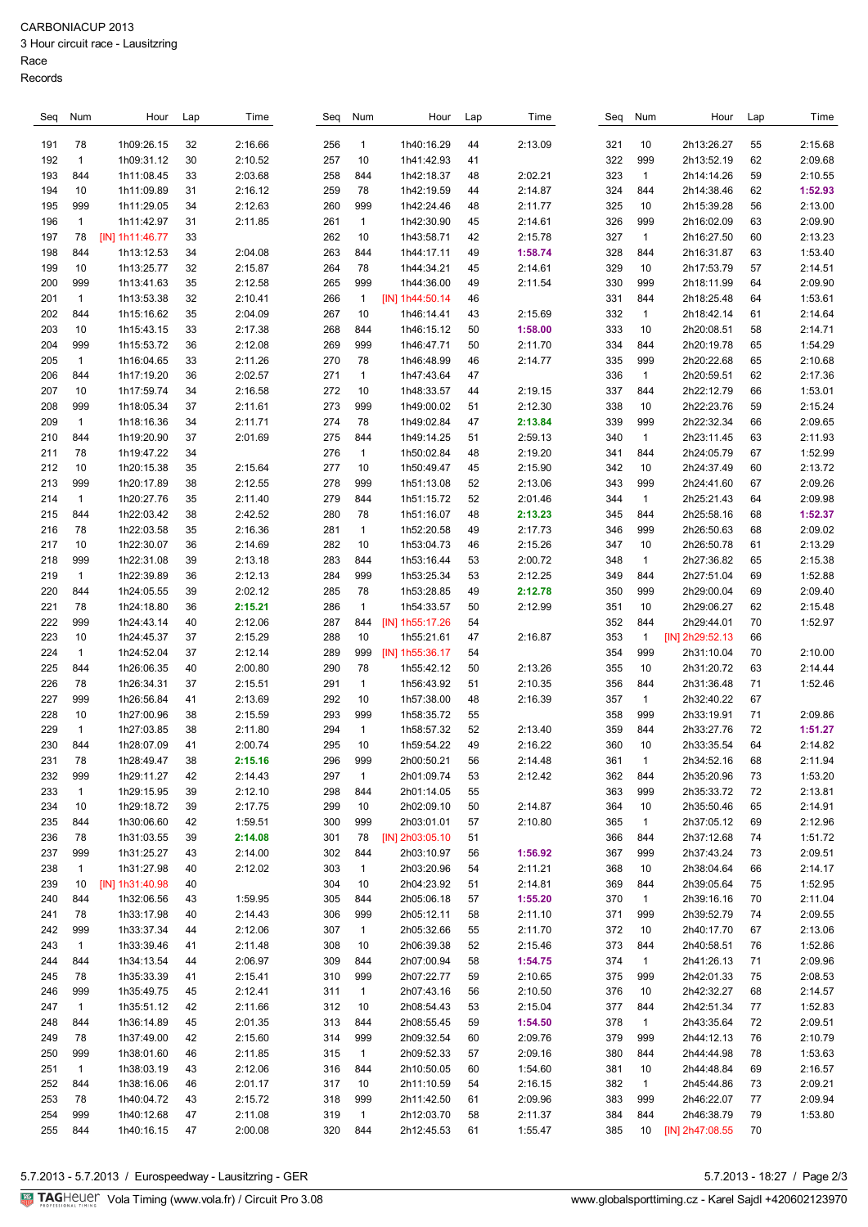## 3 Hour circuit race - Lausitzring

Race

| Seq | Num          | Hour                     | Lap | Time    | Seq        | Num          | Hour            | Lap | Time    | Seq        | Num          | Hour            | Lap | Time    |
|-----|--------------|--------------------------|-----|---------|------------|--------------|-----------------|-----|---------|------------|--------------|-----------------|-----|---------|
|     |              |                          |     |         |            |              |                 |     |         |            |              |                 |     |         |
| 191 | 78           | 1h09:26.15               | 32  | 2:16.66 | 256        | $\mathbf{1}$ | 1h40:16.29      | 44  | 2:13.09 | 321        | 10           | 2h13:26.27      | 55  | 2:15.68 |
| 192 | $\mathbf{1}$ | 1h09:31.12               | 30  | 2:10.52 | 257        | 10           | 1h41:42.93      | 41  |         | 322        | 999          | 2h13:52.19      | 62  | 2:09.68 |
| 193 | 844          | 1h11:08.45               | 33  | 2:03.68 | 258        | 844          | 1h42:18.37      | 48  | 2:02.21 | 323        | $\mathbf{1}$ | 2h14:14.26      | 59  | 2:10.55 |
| 194 | 10           | 1h11:09.89               | 31  | 2:16.12 | 259        | 78           | 1h42:19.59      | 44  | 2:14.87 | 324        | 844          | 2h14:38.46      | 62  | 1:52.93 |
| 195 | 999          | 1h11:29.05               | 34  | 2:12.63 | 260        | 999          | 1h42:24.46      | 48  | 2:11.77 | 325        | 10           | 2h15:39.28      | 56  | 2:13.00 |
| 196 | $\mathbf{1}$ | 1h11:42.97               | 31  | 2:11.85 | 261        | $\mathbf{1}$ | 1h42:30.90      | 45  | 2:14.61 | 326        | 999          | 2h16:02.09      | 63  | 2:09.90 |
| 197 | 78           | [IN] 1h11:46.77          | 33  |         | 262        | 10           | 1h43:58.71      | 42  | 2:15.78 | 327        | $\mathbf{1}$ | 2h16:27.50      | 60  | 2:13.23 |
| 198 | 844          | 1h13:12.53               | 34  | 2:04.08 | 263        | 844          | 1h44:17.11      | 49  | 1:58.74 | 328        | 844          | 2h16:31.87      | 63  | 1:53.40 |
| 199 | 10           | 1h13:25.77               | 32  | 2:15.87 | 264        | 78           | 1h44:34.21      | 45  | 2:14.61 | 329        | 10           | 2h17:53.79      | 57  | 2:14.51 |
| 200 | 999          | 1h13:41.63               | 35  | 2:12.58 | 265        | 999          | 1h44:36.00      | 49  | 2:11.54 | 330        | 999          | 2h18:11.99      | 64  | 2:09.90 |
| 201 | $\mathbf{1}$ | 1h13:53.38               | 32  | 2:10.41 | 266        | $\mathbf{1}$ | [IN] 1h44:50.14 | 46  |         | 331        | 844          | 2h18:25.48      | 64  | 1:53.61 |
| 202 | 844          | 1h15:16.62               | 35  | 2:04.09 | 267        | 10           | 1h46:14.41      | 43  | 2:15.69 | 332        | $\mathbf{1}$ | 2h18:42.14      | 61  | 2:14.64 |
| 203 | 10           | 1h15:43.15               | 33  | 2:17.38 | 268        | 844          | 1h46:15.12      | 50  | 1:58.00 | 333        | 10           | 2h20:08.51      | 58  | 2:14.71 |
| 204 | 999          | 1h15:53.72               | 36  | 2:12.08 | 269        | 999          | 1h46:47.71      | 50  | 2:11.70 | 334        | 844          | 2h20:19.78      | 65  | 1:54.29 |
| 205 | $\mathbf{1}$ | 1h16:04.65               | 33  | 2:11.26 | 270        | 78           | 1h46:48.99      | 46  | 2:14.77 | 335        | 999          | 2h20:22.68      | 65  | 2:10.68 |
| 206 | 844          | 1h17:19.20               | 36  | 2:02.57 | 271        | $\mathbf{1}$ | 1h47:43.64      | 47  |         | 336        | $\mathbf{1}$ | 2h20:59.51      | 62  | 2:17.36 |
| 207 | 10           | 1h17:59.74               | 34  | 2:16.58 | 272        | 10           | 1h48:33.57      | 44  | 2:19.15 | 337        | 844          | 2h22:12.79      | 66  | 1:53.01 |
| 208 | 999          | 1h18:05.34               | 37  | 2:11.61 | 273        | 999          | 1h49:00.02      | 51  | 2:12.30 | 338        | 10           | 2h22:23.76      | 59  | 2:15.24 |
| 209 | $\mathbf{1}$ | 1h18:16.36               | 34  | 2:11.71 | 274        | 78           | 1h49:02.84      | 47  | 2:13.84 | 339        | 999          | 2h22:32.34      | 66  | 2:09.65 |
| 210 | 844          | 1h19:20.90               | 37  | 2:01.69 | 275        | 844          | 1h49:14.25      | 51  | 2:59.13 | 340        | $\mathbf{1}$ | 2h23:11.45      | 63  | 2:11.93 |
| 211 | 78           | 1h19:47.22               | 34  |         | 276        | $\mathbf{1}$ | 1h50:02.84      | 48  | 2:19.20 | 341        | 844          | 2h24:05.79      | 67  | 1:52.99 |
| 212 | 10           | 1h20:15.38               | 35  | 2:15.64 | 277        | 10           | 1h50:49.47      | 45  | 2:15.90 | 342        | 10           | 2h24:37.49      | 60  | 2:13.72 |
| 213 | 999          | 1h20:17.89               | 38  | 2:12.55 | 278        | 999          | 1h51:13.08      | 52  | 2:13.06 | 343        | 999          | 2h24:41.60      | 67  | 2:09.26 |
| 214 | $\mathbf{1}$ | 1h20:27.76               | 35  | 2:11.40 | 279        | 844          | 1h51:15.72      | 52  | 2:01.46 | 344        | $\mathbf{1}$ | 2h25:21.43      | 64  | 2:09.98 |
| 215 | 844          | 1h22:03.42               | 38  | 2:42.52 | 280        | 78           | 1h51:16.07      | 48  | 2:13.23 | 345        | 844          | 2h25:58.16      | 68  | 1:52.37 |
| 216 | 78           | 1h22:03.58               | 35  | 2:16.36 | 281        | $\mathbf{1}$ | 1h52:20.58      | 49  | 2:17.73 | 346        | 999          | 2h26:50.63      | 68  | 2:09.02 |
| 217 | 10           | 1h22:30.07               | 36  | 2:14.69 | 282        | 10           | 1h53:04.73      | 46  | 2:15.26 | 347        | 10           | 2h26:50.78      | 61  | 2:13.29 |
| 218 | 999          | 1h22:31.08               | 39  | 2:13.18 | 283        | 844          | 1h53:16.44      | 53  | 2:00.72 | 348        | $\mathbf{1}$ | 2h27:36.82      | 65  | 2:15.38 |
| 219 | $\mathbf{1}$ | 1h22:39.89               | 36  | 2:12.13 | 284        | 999          | 1h53:25.34      | 53  | 2:12.25 | 349        | 844          | 2h27:51.04      | 69  | 1:52.88 |
| 220 | 844          | 1h24:05.55               | 39  | 2:02.12 | 285        | 78           | 1h53:28.85      | 49  | 2:12.78 | 350        | 999          | 2h29:00.04      | 69  | 2:09.40 |
| 221 | 78           | 1h24:18.80               | 36  | 2:15.21 | 286        | $\mathbf{1}$ | 1h54:33.57      | 50  | 2:12.99 | 351        | 10           | 2h29:06.27      | 62  | 2:15.48 |
| 222 | 999          | 1h24:43.14               | 40  | 2:12.06 | 287        | 844          | [IN] 1h55:17.26 | 54  |         | 352        | 844          | 2h29:44.01      | 70  | 1:52.97 |
| 223 | 10           | 1h24:45.37               | 37  | 2:15.29 | 288        | 10           | 1h55:21.61      | 47  | 2:16.87 | 353        | $\mathbf{1}$ | [IN] 2h29:52.13 | 66  |         |
| 224 | $\mathbf{1}$ | 1h24:52.04               | 37  | 2:12.14 | 289        | 999          | [IN] 1h55:36.17 | 54  |         | 354        | 999          | 2h31:10.04      | 70  | 2:10.00 |
| 225 | 844          | 1h26:06.35               | 40  | 2:00.80 | 290        | 78           | 1h55:42.12      | 50  | 2:13.26 | 355        | 10           | 2h31:20.72      | 63  | 2:14.44 |
| 226 | 78           | 1h26:34.31               | 37  | 2:15.51 | 291        | $\mathbf{1}$ | 1h56:43.92      | 51  | 2:10.35 | 356        | 844          | 2h31:36.48      | 71  | 1:52.46 |
| 227 | 999          | 1h26:56.84               | 41  | 2:13.69 | 292        | 10           | 1h57:38.00      | 48  | 2:16.39 | 357        | $\mathbf{1}$ | 2h32:40.22      | 67  |         |
| 228 | 10           | 1h27:00.96               | 38  | 2:15.59 | 293        | 999          | 1h58:35.72      | 55  |         | 358        | 999          | 2h33:19.91      | 71  | 2:09.86 |
| 229 | $\mathbf{1}$ | 1h27:03.85               | 38  | 2:11.80 | 294        | $\mathbf{1}$ | 1h58:57.32      | 52  | 2:13.40 | 359        | 844          | 2h33:27.76      | 72  | 1:51.27 |
| 230 | 844          | 1h28:07.09               | 41  | 2:00.74 | 295        | 10           | 1h59:54.22      | 49  | 2:16.22 | 360        | 10           | 2h33:35.54      | 64  | 2:14.82 |
| 231 | 78           | 1h28:49.47               | 38  | 2:15.16 | 296        | 999          | 2h00:50.21      | 56  | 2:14.48 | 361        | $\mathbf{1}$ | 2h34:52.16      | 68  | 2:11.94 |
| 232 | 999          | 1h29:11.27               | 42  | 2:14.43 | 297        | $\mathbf{1}$ | 2h01:09.74      | 53  | 2:12.42 | 362        | 844          | 2h35:20.96      | 73  | 1:53.20 |
| 233 | $\mathbf{1}$ | 1h29:15.95               | 39  | 2:12.10 | 298        | 844          | 2h01:14.05      | 55  |         | 363        | 999          | 2h35:33.72      | 72  | 2:13.81 |
| 234 | 10           | 1h29:18.72               | 39  | 2:17.75 | 299        | 10           | 2h02:09.10      | 50  | 2:14.87 | 364        | 10           | 2h35:50.46      | 65  | 2:14.91 |
| 235 | 844          | 1h30:06.60               | 42  | 1:59.51 | 300        | 999          | 2h03:01.01      | 57  | 2:10.80 | 365        | $\mathbf{1}$ | 2h37:05.12      | 69  | 2:12.96 |
| 236 | 78           | 1h31:03.55               | 39  | 2:14.08 | 301        | 78           | [IN] 2h03:05.10 | 51  |         | 366        | 844          | 2h37:12.68      | 74  | 1:51.72 |
| 237 | 999          | 1h31:25.27               | 43  | 2:14.00 | 302        | 844          | 2h03:10.97      | 56  | 1:56.92 | 367        | 999          | 2h37:43.24      | 73  | 2:09.51 |
| 238 | $\mathbf{1}$ | 1h31:27.98               | 40  | 2:12.02 | 303        | $\mathbf{1}$ | 2h03:20.96      | 54  | 2:11.21 | 368        | 10           | 2h38:04.64      | 66  | 2:14.17 |
| 239 | 10           | [IN] 1h31:40.98          | 40  |         | 304        | 10           | 2h04:23.92      | 51  | 2:14.81 | 369        | 844          | 2h39:05.64      | 75  | 1:52.95 |
| 240 | 844          | 1h32:06.56               | 43  | 1:59.95 | 305        | 844          | 2h05:06.18      | 57  | 1:55.20 | 370        | $\mathbf{1}$ | 2h39:16.16      | 70  | 2:11.04 |
| 241 | 78           | 1h33:17.98               | 40  | 2:14.43 | 306        | 999          | 2h05:12.11      | 58  | 2:11.10 | 371        | 999          | 2h39:52.79      | 74  | 2:09.55 |
| 242 | 999          | 1h33:37.34               | 44  | 2:12.06 | 307        | $\mathbf{1}$ | 2h05:32.66      | 55  | 2:11.70 | 372        | 10           | 2h40:17.70      | 67  | 2:13.06 |
| 243 | $\mathbf{1}$ | 1h33:39.46               | 41  | 2:11.48 | 308        | 10           | 2h06:39.38      | 52  | 2:15.46 | 373        | 844          | 2h40:58.51      | 76  | 1:52.86 |
| 244 | 844          | 1h34:13.54               | 44  | 2:06.97 | 309        | 844          | 2h07:00.94      | 58  | 1:54.75 | 374        | $\mathbf{1}$ | 2h41:26.13      | 71  | 2:09.96 |
| 245 | 78           | 1h35:33.39               | 41  | 2:15.41 | 310        | 999          | 2h07:22.77      | 59  | 2:10.65 | 375        | 999          | 2h42:01.33      | 75  | 2:08.53 |
| 246 | 999          |                          |     | 2:12.41 |            |              | 2h07:43.16      |     | 2:10.50 |            |              | 2h42:32.27      |     | 2:14.57 |
|     |              | 1h35:49.75<br>1h35:51.12 | 45  | 2:11.66 | 311<br>312 | $\mathbf{1}$ | 2h08:54.43      | 56  | 2:15.04 | 376<br>377 | 10           | 2h42:51.34      | 68  | 1:52.83 |
| 247 | $\mathbf{1}$ |                          | 42  |         |            | 10           |                 | 53  |         |            | 844          |                 | 77  |         |
| 248 | 844          | 1h36:14.89               | 45  | 2:01.35 | 313        | 844          | 2h08:55.45      | 59  | 1:54.50 | 378        | $\mathbf{1}$ | 2h43:35.64      | 72  | 2:09.51 |
| 249 | 78           | 1h37:49.00               | 42  | 2:15.60 | 314        | 999          | 2h09:32.54      | 60  | 2:09.76 | 379        | 999          | 2h44:12.13      | 76  | 2:10.79 |
| 250 | 999          | 1h38:01.60               | 46  | 2:11.85 | 315        | $\mathbf{1}$ | 2h09:52.33      | 57  | 2:09.16 | 380        | 844          | 2h44:44.98      | 78  | 1:53.63 |
| 251 | $\mathbf{1}$ | 1h38:03.19               | 43  | 2:12.06 | 316        | 844          | 2h10:50.05      | 60  | 1:54.60 | 381        | 10           | 2h44:48.84      | 69  | 2:16.57 |
| 252 | 844          | 1h38:16.06               | 46  | 2:01.17 | 317        | 10           | 2h11:10.59      | 54  | 2:16.15 | 382        | $\mathbf{1}$ | 2h45:44.86      | 73  | 2:09.21 |
| 253 | 78           | 1h40:04.72               | 43  | 2:15.72 | 318        | 999          | 2h11:42.50      | 61  | 2:09.96 | 383        | 999          | 2h46:22.07      | 77  | 2:09.94 |
| 254 | 999          | 1h40:12.68               | 47  | 2:11.08 | 319        | $\mathbf{1}$ | 2h12:03.70      | 58  | 2:11.37 | 384        | 844          | 2h46:38.79      | 79  | 1:53.80 |
| 255 | 844          | 1h40:16.15               | 47  | 2:00.08 | 320        | 844          | 2h12:45.53      | 61  | 1:55.47 | 385        | 10           | [IN] 2h47:08.55 | 70  |         |